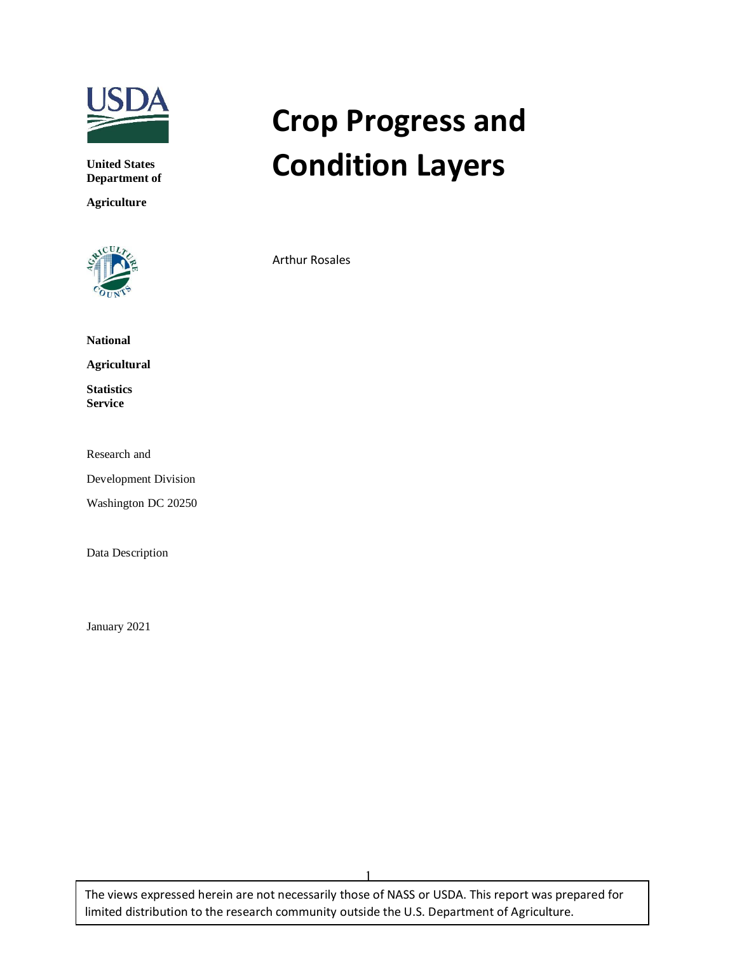

**United States Department of** 

**Agriculture**



# **Crop Progress and Condition Layers**

Arthur Rosales

**National**

**Agricultural**

**Statistics Service**

Research and

Development Division

Washington DC 20250

Data Description

January 2021

The views expressed herein are not necessarily those of NASS or USDA. This report was prepared for limited distribution to the research community outside the U.S. Department of Agriculture.

1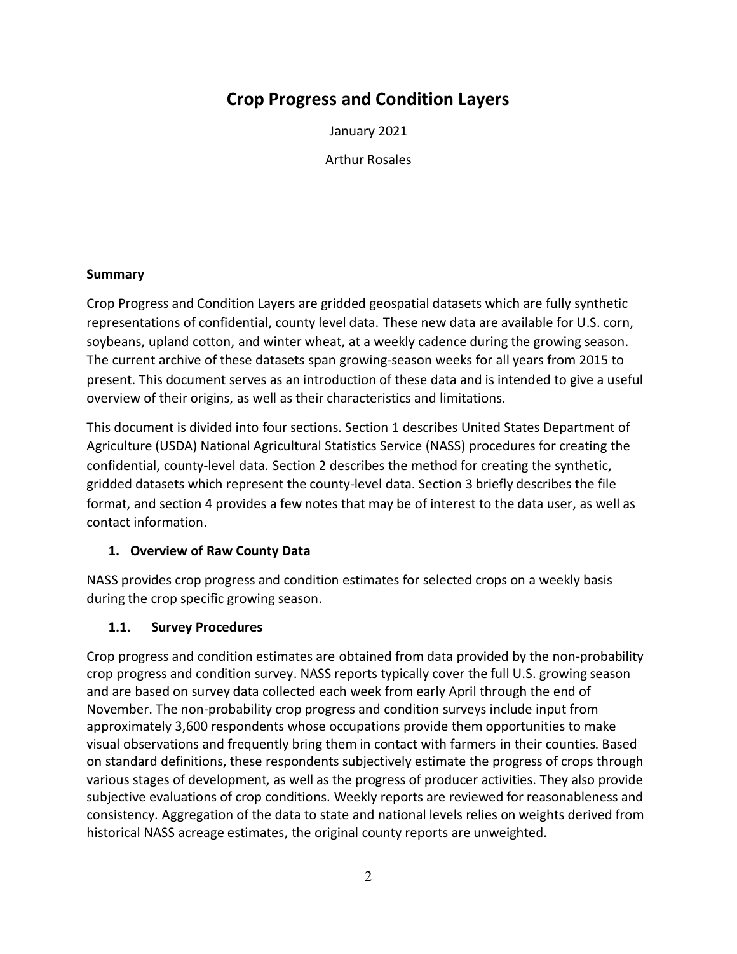# **Crop Progress and Condition Layers**

January 2021

Arthur Rosales

## **Summary**

Crop Progress and Condition Layers are gridded geospatial datasets which are fully synthetic representations of confidential, county level data. These new data are available for U.S. corn, soybeans, upland cotton, and winter wheat, at a weekly cadence during the growing season. The current archive of these datasets span growing-season weeks for all years from 2015 to present. This document serves as an introduction of these data and is intended to give a useful overview of their origins, as well as their characteristics and limitations.

This document is divided into four sections. Section 1 describes United States Department of Agriculture (USDA) National Agricultural Statistics Service (NASS) procedures for creating the confidential, county-level data. Section 2 describes the method for creating the synthetic, gridded datasets which represent the county-level data. Section 3 briefly describes the file format, and section 4 provides a few notes that may be of interest to the data user, as well as contact information.

## **1. Overview of Raw County Data**

NASS provides crop progress and condition estimates for selected crops on a weekly basis during the crop specific growing season.

## **1.1. Survey Procedures**

Crop progress and condition estimates are obtained from data provided by the non-probability crop progress and condition survey. NASS reports typically cover the full U.S. growing season and are based on survey data collected each week from early April through the end of November. The non-probability crop progress and condition surveys include input from approximately 3,600 respondents whose occupations provide them opportunities to make visual observations and frequently bring them in contact with farmers in their counties. Based on standard definitions, these respondents subjectively estimate the progress of crops through various stages of development, as well as the progress of producer activities. They also provide subjective evaluations of crop conditions. Weekly reports are reviewed for reasonableness and consistency. Aggregation of the data to state and national levels relies on weights derived from historical NASS acreage estimates, the original county reports are unweighted.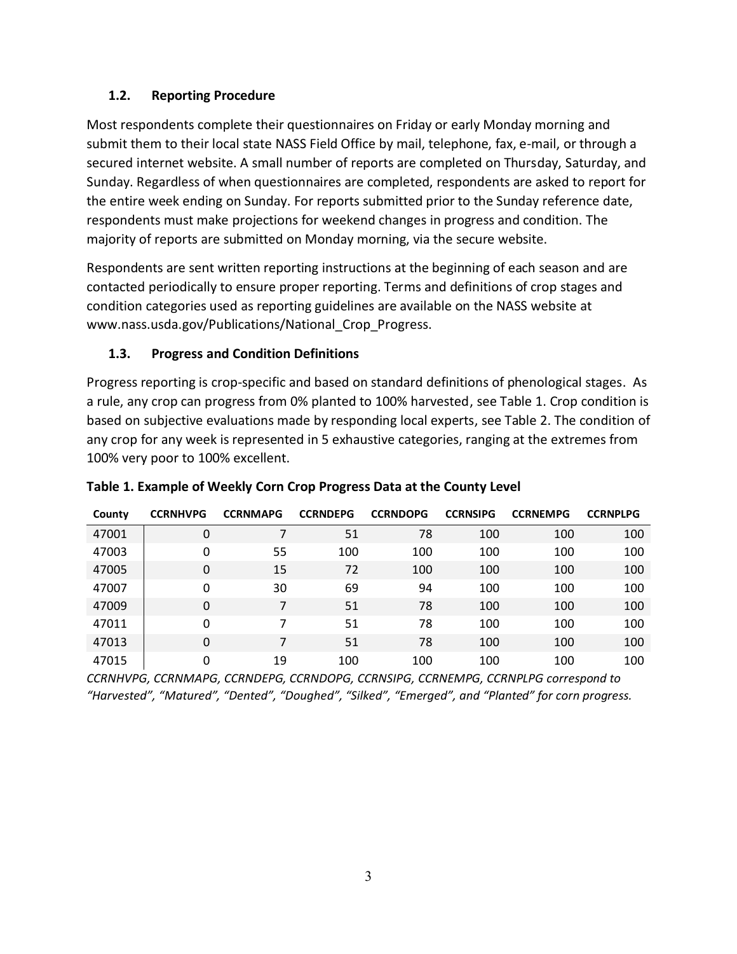# **1.2. Reporting Procedure**

Most respondents complete their questionnaires on Friday or early Monday morning and submit them to their local state NASS Field Office by mail, telephone, fax, e-mail, or through a secured internet website. A small number of reports are completed on Thursday, Saturday, and Sunday. Regardless of when questionnaires are completed, respondents are asked to report for the entire week ending on Sunday. For reports submitted prior to the Sunday reference date, respondents must make projections for weekend changes in progress and condition. The majority of reports are submitted on Monday morning, via the secure website.

Respondents are sent written reporting instructions at the beginning of each season and are contacted periodically to ensure proper reporting. Terms and definitions of crop stages and condition categories used as reporting guidelines are available on the NASS website at www.nass.usda.gov/Publications/National\_Crop\_Progress.

# **1.3. Progress and Condition Definitions**

Progress reporting is crop-specific and based on standard definitions of phenological stages. As a rule, any crop can progress from 0% planted to 100% harvested, see Table 1. Crop condition is based on subjective evaluations made by responding local experts, see Table 2. The condition of any crop for any week is represented in 5 exhaustive categories, ranging at the extremes from 100% very poor to 100% excellent.

| County | <b>CCRNHVPG</b> | <b>CCRNMAPG</b> | <b>CCRNDEPG</b> | <b>CCRNDOPG</b> | <b>CCRNSIPG</b> | <b>CCRNEMPG</b> | <b>CCRNPLPG</b> |
|--------|-----------------|-----------------|-----------------|-----------------|-----------------|-----------------|-----------------|
| 47001  | 0               |                 | 51              | 78              | 100             | 100             | 100             |
| 47003  | 0               | 55              | 100             | 100             | 100             | 100             | 100             |
| 47005  | 0               | 15              | 72              | 100             | 100             | 100             | 100             |
| 47007  | 0               | 30              | 69              | 94              | 100             | 100             | 100             |
| 47009  | 0               | 7               | 51              | 78              | 100             | 100             | 100             |
| 47011  | 0               | 7               | 51              | 78              | 100             | 100             | 100             |
| 47013  | 0               | 7               | 51              | 78              | 100             | 100             | 100             |
| 47015  | 0               | 19              | 100             | 100             | 100             | 100             | 100             |

# **Table 1. Example of Weekly Corn Crop Progress Data at the County Level**

*CCRNHVPG, CCRNMAPG, CCRNDEPG, CCRNDOPG, CCRNSIPG, CCRNEMPG, CCRNPLPG correspond to "Harvested", "Matured", "Dented", "Doughed", "Silked", "Emerged", and "Planted" for corn progress.*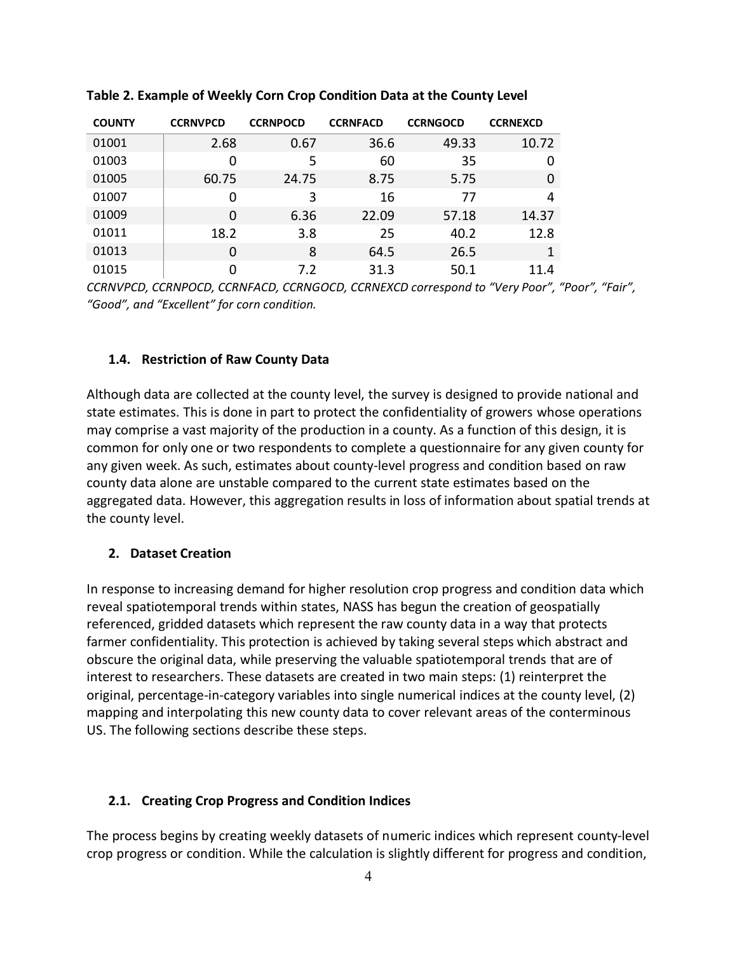| <b>COUNTY</b> | <b>CCRNVPCD</b> | <b>CCRNPOCD</b> | <b>CCRNFACD</b> | <b>CCRNGOCD</b> | <b>CCRNEXCD</b> |
|---------------|-----------------|-----------------|-----------------|-----------------|-----------------|
| 01001         | 2.68            | 0.67            | 36.6            | 49.33           | 10.72           |
| 01003         | 0               | 5               | 60              | 35              | $\Omega$        |
| 01005         | 60.75           | 24.75           | 8.75            | 5.75            | $\Omega$        |
| 01007         | 0               | 3               | 16              | 77              | 4               |
| 01009         | $\Omega$        | 6.36            | 22.09           | 57.18           | 14.37           |
| 01011         | 18.2            | 3.8             | 25              | 40.2            | 12.8            |
| 01013         | 0               | 8               | 64.5            | 26.5            | 1               |
| 01015         | 0               | 7.2             | 31.3            | 50.1            | 11.4            |

**Table 2. Example of Weekly Corn Crop Condition Data at the County Level** 

*CCRNVPCD, CCRNPOCD, CCRNFACD, CCRNGOCD, CCRNEXCD correspond to "Very Poor", "Poor", "Fair", "Good", and "Excellent" for corn condition.*

#### **1.4. Restriction of Raw County Data**

Although data are collected at the county level, the survey is designed to provide national and state estimates. This is done in part to protect the confidentiality of growers whose operations may comprise a vast majority of the production in a county. As a function of this design, it is common for only one or two respondents to complete a questionnaire for any given county for any given week. As such, estimates about county-level progress and condition based on raw county data alone are unstable compared to the current state estimates based on the aggregated data. However, this aggregation results in loss of information about spatial trends at the county level.

#### **2. Dataset Creation**

In response to increasing demand for higher resolution crop progress and condition data which reveal spatiotemporal trends within states, NASS has begun the creation of geospatially referenced, gridded datasets which represent the raw county data in a way that protects farmer confidentiality. This protection is achieved by taking several steps which abstract and obscure the original data, while preserving the valuable spatiotemporal trends that are of interest to researchers. These datasets are created in two main steps: (1) reinterpret the original, percentage-in-category variables into single numerical indices at the county level, (2) mapping and interpolating this new county data to cover relevant areas of the conterminous US. The following sections describe these steps.

#### **2.1. Creating Crop Progress and Condition Indices**

The process begins by creating weekly datasets of numeric indices which represent county-level crop progress or condition. While the calculation is slightly different for progress and condition,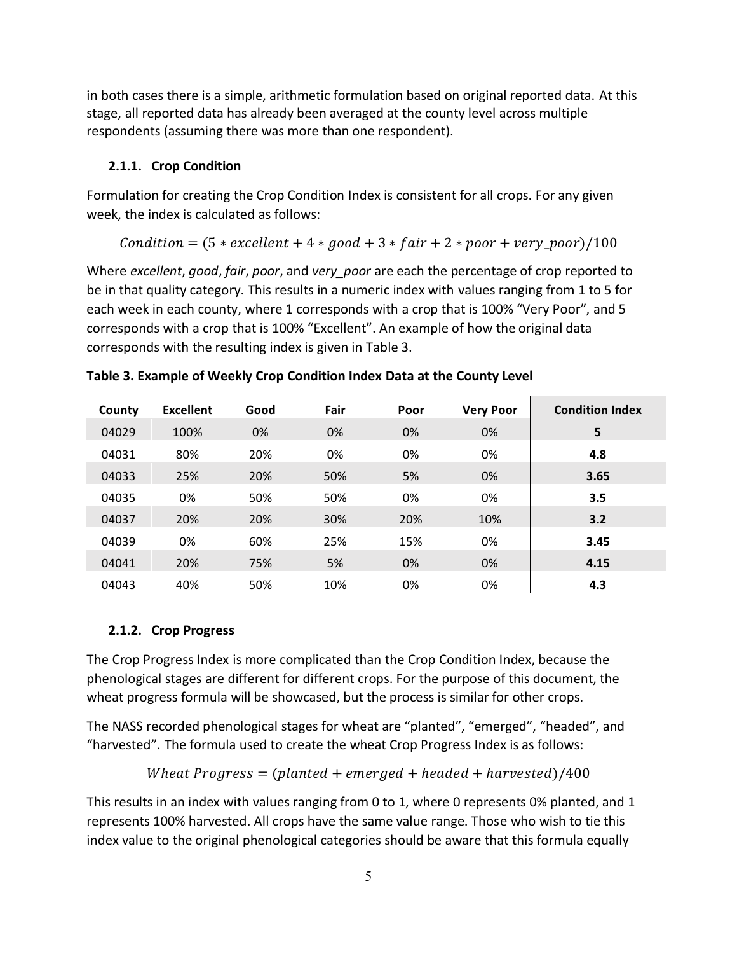in both cases there is a simple, arithmetic formulation based on original reported data. At this stage, all reported data has already been averaged at the county level across multiple respondents (assuming there was more than one respondent).

#### **2.1.1. Crop Condition**

Formulation for creating the Crop Condition Index is consistent for all crops. For any given week, the index is calculated as follows:

Condition = 
$$
(5 \times excellent + 4 \times good + 3 \times fair + 2 \times poor + very\_poor)/100
$$

Where *excellent*, *good*, *fair*, *poor*, and *very\_poor* are each the percentage of crop reported to be in that quality category. This results in a numeric index with values ranging from 1 to 5 for each week in each county, where 1 corresponds with a crop that is 100% "Very Poor", and 5 corresponds with a crop that is 100% "Excellent". An example of how the original data corresponds with the resulting index is given in Table 3.

| County | Excellent | Good | Fair | Poor | <b>Very Poor</b> | <b>Condition Index</b> |
|--------|-----------|------|------|------|------------------|------------------------|
| 04029  | 100%      | 0%   | 0%   | 0%   | 0%               | 5                      |
| 04031  | 80%       | 20%  | 0%   | 0%   | 0%               | 4.8                    |
| 04033  | 25%       | 20%  | 50%  | 5%   | 0%               | 3.65                   |
| 04035  | 0%        | 50%  | 50%  | 0%   | 0%               | 3.5                    |
| 04037  | 20%       | 20%  | 30%  | 20%  | 10%              | 3.2                    |
| 04039  | 0%        | 60%  | 25%  | 15%  | 0%               | 3.45                   |
| 04041  | 20%       | 75%  | 5%   | 0%   | 0%               | 4.15                   |
| 04043  | 40%       | 50%  | 10%  | 0%   | 0%               | 4.3                    |

**Table 3. Example of Weekly Crop Condition Index Data at the County Level** 

#### **2.1.2. Crop Progress**

The Crop Progress Index is more complicated than the Crop Condition Index, because the phenological stages are different for different crops. For the purpose of this document, the wheat progress formula will be showcased, but the process is similar for other crops.

The NASS recorded phenological stages for wheat are "planted", "emerged", "headed", and "harvested". The formula used to create the wheat Crop Progress Index is as follows:

Wheat Progress = (planted  $+$  emerged  $+$  headed  $+$  harvested)/400

This results in an index with values ranging from 0 to 1, where 0 represents 0% planted, and 1 represents 100% harvested. All crops have the same value range. Those who wish to tie this index value to the original phenological categories should be aware that this formula equally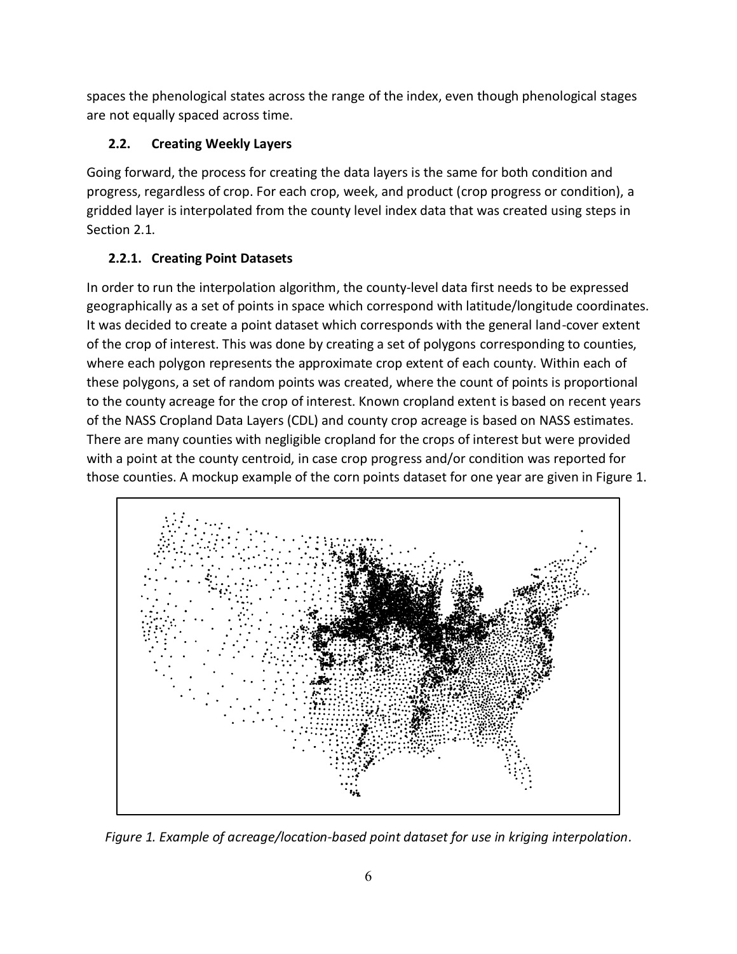spaces the phenological states across the range of the index, even though phenological stages are not equally spaced across time.

# **2.2. Creating Weekly Layers**

Going forward, the process for creating the data layers is the same for both condition and progress, regardless of crop. For each crop, week, and product (crop progress or condition), a gridded layer is interpolated from the county level index data that was created using steps in Section 2.1.

# **2.2.1. Creating Point Datasets**

In order to run the interpolation algorithm, the county-level data first needs to be expressed geographically as a set of points in space which correspond with latitude/longitude coordinates. It was decided to create a point dataset which corresponds with the general land-cover extent of the crop of interest. This was done by creating a set of polygons corresponding to counties, where each polygon represents the approximate crop extent of each county. Within each of these polygons, a set of random points was created, where the count of points is proportional to the county acreage for the crop of interest. Known cropland extent is based on recent years of the NASS Cropland Data Layers (CDL) and county crop acreage is based on NASS estimates. There are many counties with negligible cropland for the crops of interest but were provided with a point at the county centroid, in case crop progress and/or condition was reported for those counties. A mockup example of the corn points dataset for one year are given in Figure 1.



*Figure 1. Example of acreage/location-based point dataset for use in kriging interpolation.*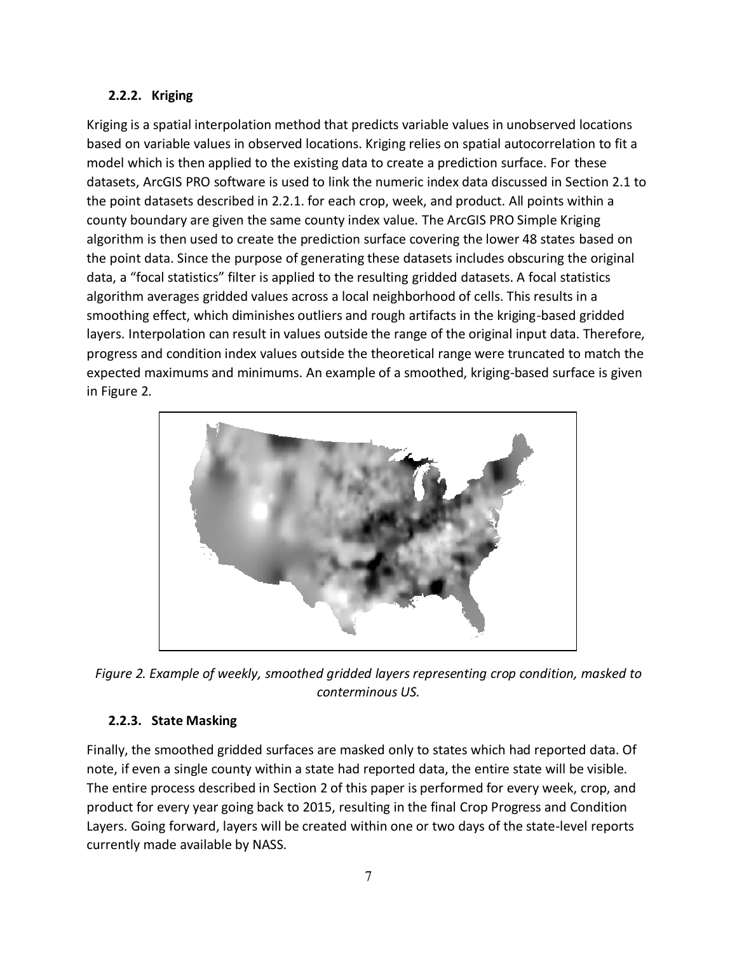# **2.2.2. Kriging**

Kriging is a spatial interpolation method that predicts variable values in unobserved locations based on variable values in observed locations. Kriging relies on spatial autocorrelation to fit a model which is then applied to the existing data to create a prediction surface. For these datasets, ArcGIS PRO software is used to link the numeric index data discussed in Section 2.1 to the point datasets described in 2.2.1. for each crop, week, and product. All points within a county boundary are given the same county index value. The ArcGIS PRO Simple Kriging algorithm is then used to create the prediction surface covering the lower 48 states based on the point data. Since the purpose of generating these datasets includes obscuring the original data, a "focal statistics" filter is applied to the resulting gridded datasets. A focal statistics algorithm averages gridded values across a local neighborhood of cells. This results in a smoothing effect, which diminishes outliers and rough artifacts in the kriging-based gridded layers. Interpolation can result in values outside the range of the original input data. Therefore, progress and condition index values outside the theoretical range were truncated to match the expected maximums and minimums. An example of a smoothed, kriging-based surface is given in Figure 2.



*Figure 2. Example of weekly, smoothed gridded layers representing crop condition, masked to conterminous US.*

# **2.2.3. State Masking**

Finally, the smoothed gridded surfaces are masked only to states which had reported data. Of note, if even a single county within a state had reported data, the entire state will be visible. The entire process described in Section 2 of this paper is performed for every week, crop, and product for every year going back to 2015, resulting in the final Crop Progress and Condition Layers. Going forward, layers will be created within one or two days of the state-level reports currently made available by NASS.